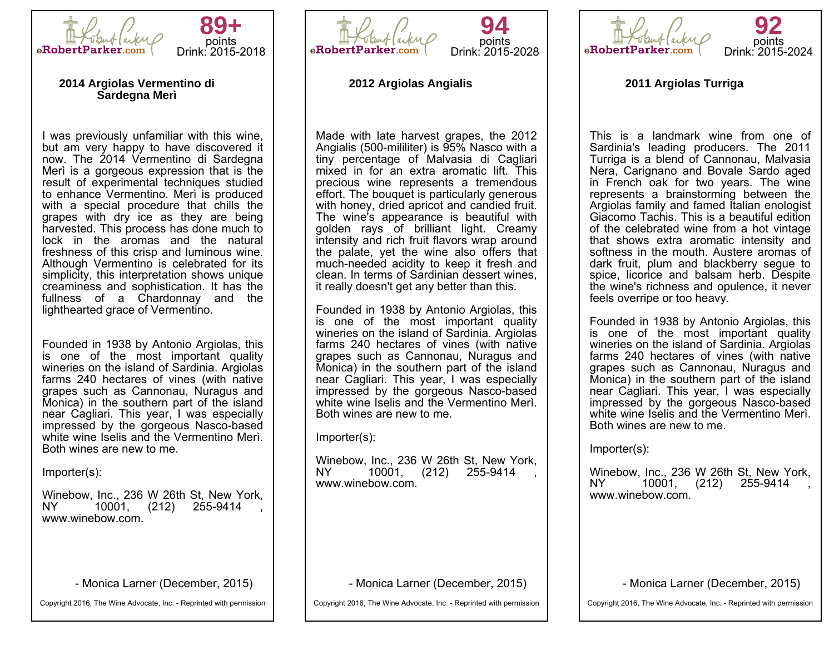



#### **2014 Argiolas Vermentino di Sardegna Merì**

I was previously unfamiliar with this wine, but am very happy to have discovered it now. The 2014 Vermentino di Sardegna Merì is a gorgeous expression that is the result of experimental techniques studied to enhance Vermentino. Merì is produced with a special procedure that chills the grapes with dry ice as they are being harvested. This process has done much to lock in the aromas and the natural freshness of this crisp and luminous wine. Although Vermentino is celebrated for its simplicity, this interpretation shows unique creaminess and sophistication. It has the fullness of a Chardonnay and the lighthearted grace of Vermentino.

Founded in 1938 by Antonio Argiolas, this is one of the most important quality wineries on the island of Sardinia. Argiolas farms 240 hectares of vines (with native grapes such as Cannonau, Nuragus and Monica) in the southern part of the island near Cagliari. This year, I was especially impressed by the gorgeous Nasco-based white wine Iselis and the Vermentino Merì. Both wines are new to me.

Importer(s):

Winebow, Inc., 236 W 26th St, New York, 10001, (212) 255-9414 www.winebow.com.

- Monica Larner (December, 2015)

Copyright 2016, The Wine Advocate, Inc. - Reprinted with permission



## **2012 Argiolas Angialis**

Made with late harvest grapes, the 2012 Angialis (500-mililiter) is 95% Nasco with a tiny percentage of Malvasia di Cagliari mixed in for an extra aromatic lift. This precious wine represents a tremendous effort. The bouquet is particularly generous with honey, dried apricot and candied fruit. The wine's appearance is beautiful with golden rays of brilliant light. Creamy intensity and rich fruit flavors wrap around the palate, yet the wine also offers that much-needed acidity to keep it fresh and clean. In terms of Sardinian dessert wines, it really doesn't get any better than this.

Founded in 1938 by Antonio Argiolas, this is one of the most important quality wineries on the island of Sardinia. Argiolas farms 240 hectares of vines (with native grapes such as Cannonau, Nuragus and Monica) in the southern part of the island near Cagliari. This year, I was especially impressed by the gorgeous Nasco-based white wine Iselis and the Vermentino Merì. Both wines are new to me.

Importer(s):

Winebow, Inc., 236 W 26th St, New York, 10001, (212) 255-9414 www.winebow.com.

- Monica Larner (December, 2015)

Copyright 2016, The Wine Advocate, Inc. - Reprinted with permission



**92** points Drink: 2015-2024

**2011 Argiolas Turriga**

This is a landmark wine from one of Sardinia's leading producers. The 2011 Turriga is a blend of Cannonau, Malvasia Nera, Carignano and Bovale Sardo aged in French oak for two years. The wine represents a brainstorming between the Argiolas family and famed Italian enologist Giacomo Tachis. This is a beautiful edition of the celebrated wine from a hot vintage that shows extra aromatic intensity and softness in the mouth. Austere aromas of dark fruit, plum and blackberry segue to spice, licorice and balsam herb. Despite the wine's richness and opulence, it never feels overripe or too heavy.

Founded in 1938 by Antonio Argiolas, this is one of the most important quality wineries on the island of Sardinia. Argiolas farms 240 hectares of vines (with native grapes such as Cannonau, Nuragus and Monica) in the southern part of the island near Cagliari. This year, I was especially impressed by the gorgeous Nasco-based white wine Iselis and the Vermentino Merì. Both wines are new to me.

Importer(s):

Winebow, Inc., 236 W 26th St, New York,<br>NY 10001 (212) 255-9414 10001, (212) 255-9414 www.winebow.com.

- Monica Larner (December, 2015)

Copyright 2016, The Wine Advocate, Inc. - Reprinted with permission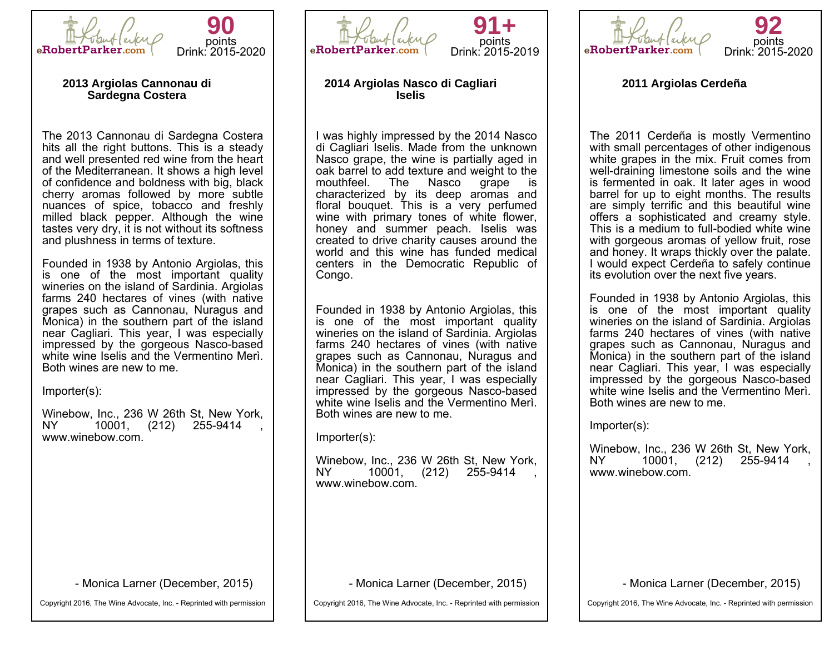



#### **2013 Argiolas Cannonau di Sardegna Costera**

The 2013 Cannonau di Sardegna Costera hits all the right buttons. This is a steady and well presented red wine from the heart of the Mediterranean. It shows a high level of confidence and boldness with big, black cherry aromas followed by more subtle nuances of spice, tobacco and freshly milled black pepper. Although the wine tastes very dry, it is not without its softness and plushness in terms of texture.

Founded in 1938 by Antonio Argiolas, this is one of the most important quality wineries on the island of Sardinia. Argiolas farms 240 hectares of vines (with native grapes such as Cannonau, Nuragus and Monica) in the southern part of the island near Cagliari. This year, I was especially impressed by the gorgeous Nasco-based white wine Iselis and the Vermentino Merì. Both wines are new to me.

Importer(s):

Winebow, Inc., 236 W 26th St, New York, 10001, (212) 255-9414 www.winebow.com.

- Monica Larner (December, 2015)

Copyright 2016, The Wine Advocate, Inc. - Reprinted with permission





### **2014 Argiolas Nasco di Cagliari Iselis**

I was highly impressed by the 2014 Nasco di Cagliari Iselis. Made from the unknown Nasco grape, the wine is partially aged in oak barrel to add texture and weight to the mouthfeel. The Nasco grape is mouthfeel. The Nasco grape characterized by its deep aromas and floral bouquet. This is a very perfumed wine with primary tones of white flower, honey and summer peach. Iselis was created to drive charity causes around the world and this wine has funded medical centers in the Democratic Republic of Congo.

Founded in 1938 by Antonio Argiolas, this is one of the most important quality wineries on the island of Sardinia. Argiolas farms 240 hectares of vines (with native grapes such as Cannonau, Nuragus and Monica) in the southern part of the island near Cagliari. This year, I was especially impressed by the gorgeous Nasco-based white wine Iselis and the Vermentino Merì. Both wines are new to me.

Importer(s):

Winebow, Inc., 236 W 26th St, New York, 10001, (212) www.winebow.com.

- Monica Larner (December, 2015)

Copyright 2016, The Wine Advocate, Inc. - Reprinted with permission



**2011 Argiolas Cerdeña**

The 2011 Cerdeña is mostly Vermentino with small percentages of other indigenous white grapes in the mix. Fruit comes from well-draining limestone soils and the wine is fermented in oak. It later ages in wood barrel for up to eight months. The results are simply terrific and this beautiful wine offers a sophisticated and creamy style. This is a medium to full-bodied white wine with gorgeous aromas of yellow fruit, rose and honey. It wraps thickly over the palate. I would expect Cerdeña to safely continue its evolution over the next five years.

Founded in 1938 by Antonio Argiolas, this is one of the most important quality wineries on the island of Sardinia. Argiolas farms 240 hectares of vines (with native grapes such as Cannonau, Nuragus and Monica) in the southern part of the island near Cagliari. This year, I was especially impressed by the gorgeous Nasco-based white wine Iselis and the Vermentino Merì. Both wines are new to me.

Importer(s):

Winebow, Inc., 236 W 26th St, New York,<br>NY 10001. (212) 255-9414 10001, (212) 255-9414 www.winebow.com.

- Monica Larner (December, 2015)

Copyright 2016, The Wine Advocate, Inc. - Reprinted with permission